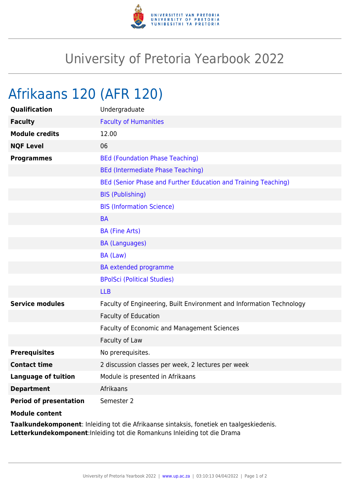

## University of Pretoria Yearbook 2022

## Afrikaans 120 (AFR 120)

| Qualification                 | Undergraduate                                                        |
|-------------------------------|----------------------------------------------------------------------|
| <b>Faculty</b>                | <b>Faculty of Humanities</b>                                         |
| <b>Module credits</b>         | 12.00                                                                |
| <b>NQF Level</b>              | 06                                                                   |
| <b>Programmes</b>             | <b>BEd (Foundation Phase Teaching)</b>                               |
|                               | <b>BEd (Intermediate Phase Teaching)</b>                             |
|                               | BEd (Senior Phase and Further Education and Training Teaching)       |
|                               | <b>BIS (Publishing)</b>                                              |
|                               | <b>BIS (Information Science)</b>                                     |
|                               | <b>BA</b>                                                            |
|                               | <b>BA (Fine Arts)</b>                                                |
|                               | <b>BA (Languages)</b>                                                |
|                               | BA (Law)                                                             |
|                               | <b>BA</b> extended programme                                         |
|                               | <b>BPolSci (Political Studies)</b>                                   |
|                               | <b>LLB</b>                                                           |
| <b>Service modules</b>        | Faculty of Engineering, Built Environment and Information Technology |
|                               | Faculty of Education                                                 |
|                               | Faculty of Economic and Management Sciences                          |
|                               | Faculty of Law                                                       |
| <b>Prerequisites</b>          | No prerequisites.                                                    |
| <b>Contact time</b>           | 2 discussion classes per week, 2 lectures per week                   |
| <b>Language of tuition</b>    | Module is presented in Afrikaans                                     |
| <b>Department</b>             | Afrikaans                                                            |
| <b>Period of presentation</b> | Semester 2                                                           |
|                               |                                                                      |

**Module content**

**Taalkundekomponent**: Inleiding tot die Afrikaanse sintaksis, fonetiek en taalgeskiedenis. **Letterkundekomponent**:Inleiding tot die Romankuns Inleiding tot die Drama